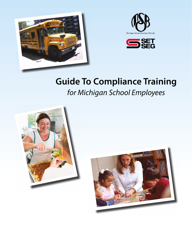





### **Guide To Compliance Training** *for Michigan School Employees*



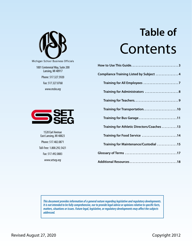

1001 Centennial Way, Suite 200 Lansing, MI 48917

Phone: 517.327.5920

Fax: 517.327.0768

*[www.msbo.org](http://www.msbo.org/)*



1520 Earl Avenue East Lansing, MI 48823 Phone: 517.482.0871 Toll-Free: 1.800.292.5421 Fax: 517.492.0883 *[www.setseg.org](http://www.setseg.org)*

## **Table of** Contents

| How to Use This Guide3                     |
|--------------------------------------------|
| Compliance Training Listed by Subject 4    |
|                                            |
| Training for Administrators  8             |
|                                            |
| Training for Transportation10              |
| Training for Bus Garage11                  |
| Training for Athletic Directors/Coaches 13 |
| Training for Food Service 14               |
| Training for Maintenance/Custodial 15      |
|                                            |
| Additional Resources18                     |

*This document provides information of a general nature regarding legislative and regulatory developments. It is not intended to be fully comprehensive, nor to provide legal advice or opinions relative to specific facts, matters, situations or issues. Future legal, legislative, or regulatory developments may affect the subjects addressed.*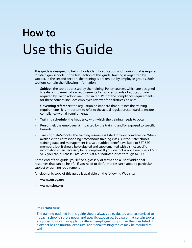### <span id="page-2-0"></span>**How to** Use this Guide

This guide is designed to help schools identify education and training that is required for Michigan schools. In the first section of this guide, training is organized by subject. In the second section, the training is broken out by employee groups. Both sections contain the following information:

- **• Subject:** the topic addressed by the training. Policy courses, which are designed to satisfy implementation requirements for policies boards of education are required by law to adopt, are listed in red. Part of the compliance requirements for these courses includes employee review of the district's policies.
- **• Governing reference:** the regulation or standard that outlines the training requirements. It is important to refer to the actual regulation/standard to ensure compliance with all requirements.
- **• Training schedule:** the frequency with which the training needs to occur.
- **• Personnel:** the employee(s) impacted by the training and/or exposed to specific hazards.
- **• Training/SafeSchools:** the training resource is listed for your convenience. When available, the corresponding SafeSchools training class is listed. SafeSchools training data and management is a value-added benefit available to SET SEG members, but it should be evaluated and supplemented with district specific information when necessary to be compliant. If your district is not a member of SET SEG, you can purchase SafeSchools at a discounted price through MSBO.

At the end of this guide, you'll find a glossary of terms and a list of additional resources that can be helpful if you need to do further research about a particular subject or training requirement.

An electronic copy of this guide is available on the following Web sites:

- **• [www.setseg.org](http://www.setseg.org)**
- **• [www.msbo.org](http://www.msbo.org/)**

#### **Important note:**

The training outlined in this guide should always be evaluated and customized to fit each school district's needs and specific exposures. Be aware that certain topics and/or exposures may apply to different employee groups than the ones listed. If a district has an unusual exposure, additional training topics may be required as well.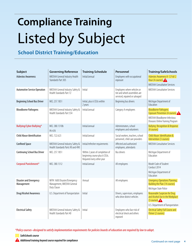# <span id="page-3-0"></span>**Compliance Training** Listed by Subject

### **School District Training/Education**

| <b>Subject</b>                              | <b>Governing Reference</b>                                                | <b>Training Schedule</b>                                                                      | Personnel                                                                                      | <b>Training/SafeSchools</b>                                                                                                               |
|---------------------------------------------|---------------------------------------------------------------------------|-----------------------------------------------------------------------------------------------|------------------------------------------------------------------------------------------------|-------------------------------------------------------------------------------------------------------------------------------------------|
| <b>Asbestos Awareness</b>                   | MIOSHA General Industry Health<br>Standards Part 305                      | Initial/annual                                                                                | Employees with occupational<br>exposure                                                        | Asbestos Awareness K-12 Full 2<br>Hour (4 courses)                                                                                        |
|                                             |                                                                           |                                                                                               |                                                                                                | MIOSHA Consultative Services                                                                                                              |
| <b>Automotive Service Operation</b>         | MIOSHA General Industry Safety &<br>Health Standards Part 72              | Initial                                                                                       | Employees where vehicles or<br>tire and wheel assemblies are<br>serviced, repaired or salvaged | MIOSHA Consultative Services                                                                                                              |
| <b>Beginning School Bus Driver</b>          | MCL 257.1851                                                              | Initial, plus 6 CEUs within<br>2 years                                                        | Beginning bus drivers                                                                          | Michigan Department of<br>Education                                                                                                       |
| <b>Bloodborne Pathogens</b>                 | MIOSHA General Industry Safety &<br>Health Standards Part 554             | Initial/annual                                                                                | Category A employees                                                                           | <b>Bloodborne Pathogens</b><br><b>Exposure Prevention (4 courses)</b><br>MIOSHA Bloodborne Infectious<br>Diseases Online Training Program |
| <b>Bullying/Cyber Bullying*</b>             | MCL 380.1310b<br>PA 478                                                   | Initial/annual                                                                                | Administrators, school<br>employees and volunteers                                             | <b>Bullying: Recognition &amp; Response</b><br>(4 courses)                                                                                |
| <b>Child Abuse Identification</b>           | MCL 722.623                                                               | Initial/annual                                                                                | Social workers, teachers, school<br>personnel, child care providers                            | Child Abuse: Identification &<br>Intervention (3 courses)                                                                                 |
| <b>Confined Space</b>                       | MIOSHA General Industry Safety &<br>Health Standards Parts 90 and 490     | Initial/refresher requirements                                                                | Affected and authorized<br>employees, attendants                                               | MIOSHA Consultative Services                                                                                                              |
| <b>Continuing School Bus Driver</b>         | MCL 257.1851                                                              | Within 2 years of completion of<br>beginning course plus 6 CEUs.<br>Required every other year | <b>Bus drivers</b>                                                                             | Michigan Department of<br>Education                                                                                                       |
| <b>Corporal Punishment*</b>                 | MCL 380.1312                                                              | Initial/annual                                                                                | All employees                                                                                  | Model Code of Student<br>Conduct 2014                                                                                                     |
|                                             |                                                                           |                                                                                               |                                                                                                | Michigan Department of<br>Education                                                                                                       |
| <b>Disaster and Emergency</b><br>Management | NFPA 1600 Disaster/Emergency<br>Management, MIOSHA General<br>Duty Clause | Annual                                                                                        | All employees                                                                                  | <b>Emergency Operations Planning:</b><br>Building the Plan (14 courses)<br>Michigan State Police                                          |
| Drug/Alcohol Awareness                      | U.S. Department of Transportation                                         | Initial                                                                                       | Drivers, supervisors, employees<br>who drive district vehicles                                 | Reasonable Suspicion for Drug<br>and Alcohol Use in the Workplace<br>$(3 \text{ courses})$<br>U.S. Department of Transportation           |
| <b>Electrical Safety</b>                    | MIOSHA General Industry Safety &<br>Health Standards Part 40              | Initial                                                                                       | Employees who face risk of<br>electrical shock and others<br>exposed                           | <b>Electrical Safety Full Course and</b><br>Primer (2 courses)                                                                            |

*\*Policy courses–designed to satisfy implementation requirements for policies boards of education are required by law to adopt.*

*SafeSchools course*

*Additional training beyond course required for compliance*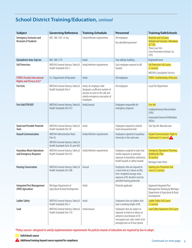### **School District Training/Education,** *continued*

| <b>Subject</b>                                                      | <b>Governing Reference</b>                                                                                      | <b>Training Schedule</b>                                                                                                                            | Personnel                                                                                                                                                               | <b>Training/SafeSchools</b>                                                                                                                                      |
|---------------------------------------------------------------------|-----------------------------------------------------------------------------------------------------------------|-----------------------------------------------------------------------------------------------------------------------------------------------------|-------------------------------------------------------------------------------------------------------------------------------------------------------------------------|------------------------------------------------------------------------------------------------------------------------------------------------------------------|
| <b>Emergency Seclusion and</b><br><b>Restraint of Students</b>      | MCL 380.1307, et seq.                                                                                           | Initial/refresher requirements                                                                                                                      | All employees<br>Key identified personnel                                                                                                                               | <b>Restraint and Seclusion</b><br><b>Restraint and Seclusion: Alternatives</b><br><b>SET SEG</b><br>Thrun Law Firm<br>Crisis Prevention Institute, Inc.<br>(CPI) |
| Epinephrine Auto-Injector                                           | MCL 380.1179                                                                                                    | Initial                                                                                                                                             | Two staff per building                                                                                                                                                  | Registered nurse                                                                                                                                                 |
| <b>Fall Protection</b>                                              | MIOSHA General Industry Safety &<br>Health Standards Part 2                                                     | Initial/refresher requirements                                                                                                                      | Each employee exposed to fall<br>hazards                                                                                                                                | <b>Fall Protection Full Course</b><br>(5 courses)<br>MIOSHA Consultative Services                                                                                |
| <b>FERPA (Family Educational</b><br><b>Rights and Privacy Act)*</b> | U.S. Department of Education                                                                                    | <b>Initial</b>                                                                                                                                      | All employees                                                                                                                                                           | <b>FERPA: Confidentiality of Records</b>                                                                                                                         |
| <b>Fire Exits</b>                                                   | MIOSHA General Industry Safety &<br>Health Standards Part 6                                                     | Initial; An employer shall<br>designate a sufficient number of<br>persons to assist in the safe and<br>orderly emergency evacuation of<br>employees | All employees                                                                                                                                                           | Local Fire Department                                                                                                                                            |
| First Aid/CPR/AED                                                   | MIOSHA General Industry Safety &<br>Health Standards Part 472                                                   | Initial/annual                                                                                                                                      | Employees responsible for<br>emergency response                                                                                                                         | <b>First Aid</b><br>Cardiopulmonary Resuscitation<br>(CPR)<br>Automated External Defibrillator<br>(AEDs)                                                         |
| <b>Hand and Portable Powered</b><br><b>Tools</b>                    | MIOSHA General Industry Safety &<br>Health Standards Part 38                                                    | <b>Initial</b>                                                                                                                                      | Employees required to utilized<br>hand and powered tools                                                                                                                | Tool Specific Manufacturer                                                                                                                                       |
| <b>Hazard Communication</b>                                         | MIOSHA Administrative Rules<br>Part 42<br>MIOSHA General Industry Safety &<br>Health Standards Parts 92 and 430 | Initial/refresher requirements                                                                                                                      | Employees exposed to hazardous<br>chemicals in the work area                                                                                                            | Hazard Communication: Right to<br>Understand (2 courses)                                                                                                         |
| <b>Hazardous Waste Operations</b><br>and Emergency Response         | MIOSHA General Industry Safety &<br>Health Standards Part 432                                                   | Initial/refresher requirements                                                                                                                      | Employees assigned to tasks that<br>involve exposure or potential<br>exposure to hazardous substances,<br>health hazards or safety hazards                              | <b>Emergency Operations Planning:</b><br><b>Building the Plan</b><br>(8 courses)<br>Michigan State Police                                                        |
| <b>Hearing Conservation</b>                                         | MIOSHA General Industry Safety &<br>Health Standards Part 380                                                   | Annual                                                                                                                                              | Employees who are exposed to<br>a noise level at or above an 8hr,<br>time-weighted average noise<br>exposure of 85 decibels must be<br>provided hearing protection      | <b>Hearing Loss Prevention Full</b><br>Course (2 courses)                                                                                                        |
| <b>Integrated Pest Management</b><br>(IPM) Agriculture              | Michigan Department of<br>Agriculture & Rural Development                                                       | Initial                                                                                                                                             | Pesticide applicator                                                                                                                                                    | Approved Integrated Pest<br>Management Training by Michigan<br>Department of Agriculture & Rural<br>Development                                                  |
| <b>Ladder Safety</b>                                                | MIOSHA General Industry Safety &<br>Health Standards Part 3                                                     | Initial                                                                                                                                             | Employees that use ladders that<br>have a working height of 6ft                                                                                                         | Ladder Safety Full Course<br>(2 courses)                                                                                                                         |
| Lead                                                                | MIOSHA General Industry Safety &<br>Health Standards Part 310                                                   | Initial/annual                                                                                                                                      | Employees that are subject to<br>exposure to lead at or above an<br>airborne concentration of 30<br>micrograms per cubic meter of air<br>averaged over an 8 hour period | <b>Lead Safety Awareness Full Course</b>                                                                                                                         |

*\*Policy courses–designed to satisfy implementation requirements for policies boards of education are required by law to adopt.*

*SafeSchools course*

*Additional training beyond course required for compliance*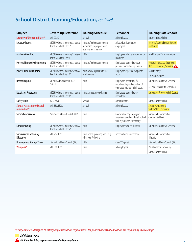### **School District Training/Education,** *continued*

| Subject                                        | <b>Governing Reference</b>                                    | <b>Training Schedule</b>                                                                | Personnel                                                                                           | <b>Training/SafeSchools</b>                                     |
|------------------------------------------------|---------------------------------------------------------------|-----------------------------------------------------------------------------------------|-----------------------------------------------------------------------------------------------------|-----------------------------------------------------------------|
| Lockdown/Shelter in Place*                     | MCI 29.19                                                     | Annual                                                                                  | All employees                                                                                       | Michigan State Police                                           |
| Lockout/Tagout                                 | MIOSHA General Industry Safety &<br>Health Standards Part 85  | Initial/refresher requirements.<br>Authorized employees must<br>receive annual training | Affected and authorized<br>employees                                                                | Lockout/Tagout: Energy Release<br><b>Full Course</b>            |
| <b>Machine Guarding</b>                        | MIOSHA General Industry Safety &<br>Health Standards Part 1   | <b>Initial</b>                                                                          | Employees who have exposure to<br>machines                                                          | Machine specific manufacturer                                   |
| Personal Protective Equipment                  | MIOSHA General Industry Safety &<br>Health Standards Part 33  | Initial/refresher requirements                                                          | Employees required to wear<br>personal protective equipment                                         | Personal Protective Equipment<br>(PPE) Full Course (2 courses)  |
| <b>Powered Industrial Truck</b>                | MIOSHA General Industry Safety &<br>Health Standards Part 21  | Initial/every 3 years/refresher<br>requirements                                         | Employees expected to operate<br>truck                                                              | Forklift Safety<br>Lift manufacturer                            |
| Recordkeeping                                  | MIOSHA Administrative Rules<br>Part 11                        | Initial                                                                                 | Employees responsible for<br>recordkeeping and recording of<br>employee injuries and illnesses      | MIOSHA Consultative Services<br>SET SEG Loss Control Consultant |
| <b>Respirator Protection</b>                   | MIOSHA General Industry Safety &<br>Health Standards Part 451 | Initial/annual/upon change                                                              | Employees required to use<br>respirators                                                            | <b>Respiratory Protection Full Course</b>                       |
| <b>Safety Drills</b>                           | PA 12 of 2014                                                 | Annual                                                                                  | Administrators                                                                                      | Michigan State Police                                           |
| <b>Sexual Harassment/Sexual</b><br>Misconduct* | MCL 380.1300a                                                 | Annual                                                                                  | All employees                                                                                       | Sexual Harassment:<br>Staff to Staff (7 courses)                |
| <b>Sports Concussions</b>                      | Public Acts 342 and 343 of 2012                               | Initial                                                                                 | Coaches and any employees,<br>volunteers or other adults involved<br>with a youth athletic activity | Michigan Department of<br>Community Health                      |
| <b>Spray Finishing</b>                         | MIOSHA General Industry Safety &<br>Health Standards Part 76  | Initial                                                                                 | Employees who do this task                                                                          | MIOSHA Consultative Services                                    |
| Supervisor's Continuing<br>Education           | MCI 257.1851                                                  | Initial year supervising and every<br>other year following                              | Transportation supervisors                                                                          | Michigan Department of<br>Education                             |
| <b>Underground Storage Tanks</b>               | International Code Council (ICC)                              | <b>Initial</b>                                                                          | Class "C" operators                                                                                 | International Code Council (ICC)                                |
| Weapons*                                       | MCL 380.1311                                                  | Initial                                                                                 | All employees                                                                                       | Visual Weapons Screening<br>Michigan State Police               |

*\*Policy courses–designed to satisfy implementation requirements for policies boards of education are required by law to adopt.*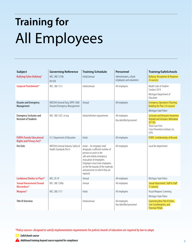## <span id="page-6-0"></span>**Training for** All Employees

| Subject                                                             | <b>Governing Reference</b>                                      | <b>Training Schedule</b>                                                                                                                                                                                                                                                       | Personnel                                          | <b>Training/SafeSchools</b>                                                                                                                                                |
|---------------------------------------------------------------------|-----------------------------------------------------------------|--------------------------------------------------------------------------------------------------------------------------------------------------------------------------------------------------------------------------------------------------------------------------------|----------------------------------------------------|----------------------------------------------------------------------------------------------------------------------------------------------------------------------------|
| <b>Bullying/Cyber Bullying*</b>                                     | MCL 380.1310b<br>PA 478                                         | Initial/annual                                                                                                                                                                                                                                                                 | Administrators, school<br>employees and volunteers | <b>Bullying: Recognition &amp; Response</b><br>(4 courses)                                                                                                                 |
| <b>Corporal Punishment*</b>                                         | MCL 380.1312                                                    | Initial/annual                                                                                                                                                                                                                                                                 | All employees                                      | Model Code of Student<br>Conduct 2014<br>Michigan Department of<br>Education                                                                                               |
| <b>Disaster and Emergency</b><br>Management                         | MIOSHA General Duty, NFPA 1600<br>Disaster/Emergency Management | Annual                                                                                                                                                                                                                                                                         | All employees                                      | <b>Emergency Operations Planning:</b><br>Building the Plan (14 courses)<br>Michigan State Police                                                                           |
| <b>Emergency Seclusion and</b><br><b>Restraint of Students</b>      | MCL 380.1307, et seq.                                           | Initial/refresher requirements                                                                                                                                                                                                                                                 | All employees<br>Key identified personnel          | <b>Seclusion and Restraint Awareness</b><br><b>Restraint and Seclusion: Alternatives</b><br><b>SET SEG</b><br>Thrun Law Firm<br>Crisis Prevention Institute, Inc.<br>(CPI) |
| <b>FERPA (Family Educational</b><br><b>Rights and Privacy Act)*</b> | U.S. Department of Education                                    | Initial                                                                                                                                                                                                                                                                        | All employees                                      | <b>FERPA: Confidentiality of Records</b>                                                                                                                                   |
| <b>Fire Exits</b>                                                   | MIOSHA General Industry Safety &<br>Health Standards Part 6     | Initial - An employer shall<br>designate a sufficient number of<br>persons to assist in the<br>safe and orderly emergency<br>evacuation of employees.<br>Employers must train employees<br>on the fire hazards of the materials<br>and processes to which they are<br>exposed. | All employees                                      | Local fire department                                                                                                                                                      |
| Lockdown/Shelter in Place*                                          | MCL 29.19                                                       | Annual                                                                                                                                                                                                                                                                         | All employees                                      | Michigan State Police                                                                                                                                                      |
| <b>Sexual Harassment/Sexual</b><br>Misconduct*                      | MCL 380.1300a                                                   | Annual                                                                                                                                                                                                                                                                         | All employees                                      | Sexual Harassment: Staff to Staff<br>(7 courses)                                                                                                                           |
| Weapons*                                                            | MCL 380.1311                                                    | Initial                                                                                                                                                                                                                                                                        | All employees                                      | Visual Weapons Screening<br>Michigan State Police                                                                                                                          |
| <b>Title IX Overview</b>                                            |                                                                 | Initial/annual                                                                                                                                                                                                                                                                 | All employees<br>Key identified personnel          | Examining New Title IX Rules,<br>Core Considerations, and<br><b>Potential Pitfalls</b>                                                                                     |

*\*Policy courses–designed to satisfy implementation requirements for policies boards of education are required by law to adopt.*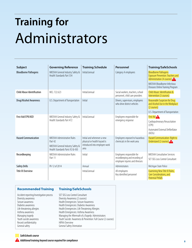## <span id="page-7-0"></span>**Training for** Administrators

| Subject                           | <b>Governing Reference</b>                                                                                    | <b>Training Schedule</b>                                                                            | Personnel                                                                                      | <b>Training/SafeSchools</b>                                                                                                                                               |
|-----------------------------------|---------------------------------------------------------------------------------------------------------------|-----------------------------------------------------------------------------------------------------|------------------------------------------------------------------------------------------------|---------------------------------------------------------------------------------------------------------------------------------------------------------------------------|
| <b>Bloodborne Pathogens</b>       | MIOSHA General Industry Safety &<br>Health Standards Part 554                                                 | Initial/annual                                                                                      | Category A employees                                                                           | <b>Bloodborne Pathogens</b><br><b>Exposure Prevention: Teachers and</b><br>Administration (4 courses)<br>MIOSHA Bloodborne Infectious<br>Diseases Online Training Program |
| <b>Child Abuse Identification</b> | MCL 722.623                                                                                                   | Initial/annual                                                                                      | Social workers, teachers, school<br>personnel, child care providers                            | Child Abuse: Identification &<br>Intervention (3 courses)                                                                                                                 |
| Drug/Alcohol Awareness            | U.S. Department of Transportation                                                                             | <b>Initial</b>                                                                                      | Drivers, supervisors, employees<br>who drive district vehicles                                 | <b>Reasonable Suspicion for Drug</b><br>and Alcohol Use in the Workplace<br>(2 courses)<br>U.S. Department of Transportation                                              |
| First Aid/CPR/AED                 | MIOSHA General Industry Safety &<br>Health Standards Part 472                                                 | Initial/annual                                                                                      | Employees responsible for<br>emergency response                                                | First Aid<br>Cardiopulmonary Resuscitation<br>(CPR)<br>Automated External Defibrillator<br>(AEDs)                                                                         |
| <b>Hazard Communication</b>       | MIOSHA Administrative Rules<br>Part 42<br>MIOSHA General Industry Safety &<br>Health Standards Parts 92 & 430 | Initial and whenever a new<br>physical or health hazard is<br>introduced into employee work<br>area | Employees exposed to hazardous<br>chemicals in the work area                                   | Hazard Communication: Right to<br>Understand (2 courses)                                                                                                                  |
| Recordkeeping                     | MIOSHA Administrative Rules<br>Part 11                                                                        | Initial                                                                                             | Employees responsible for<br>recordkeeping and recording of<br>employee injuries and illnesses | <b>MIOSHA Consultative Services</b><br>SET SEG Loss Control Consultant                                                                                                    |
| <b>Safety Drills</b>              | PA 12 of 2014                                                                                                 | Annual                                                                                              | <b>Administrators</b>                                                                          | Michigan State Police                                                                                                                                                     |
| <b>Title IX Overview</b>          |                                                                                                               | Initial/annual                                                                                      | All employees<br>Key identified personnel                                                      | <b>Examining New Title IX Rules,</b><br>Core Considerations, and<br><b>Potential Pitfalls</b>                                                                             |

#### **Recommended Training**

#### **Training/SafeSchools**

| Accident reporting/investigation process | SET SEG Loss Control Consultant                                |
|------------------------------------------|----------------------------------------------------------------|
| Diversity awareness                      | Diversity Awareness (2 courses)                                |
| Seizure awareness                        | Health Emergencies: Seizure Awareness                          |
| Diabetes awareness                       | Health Emergencies: Diabetes Awareness                         |
| Life threatening allergies               | Health Emergencies: Life Threatening Allergies                 |
| Asthma awareness                         | Health Emergencies: Asthma Awareness                           |
| Managing tragedy                         | Managing the Aftermath of a Tragedy: Administrators            |
| Youth suicide awareness                  | Youth Suicide: Awareness & Prevention: Full Course (2 courses) |
| Record confidentiality                   | <b>HIPAA Overview</b>                                          |
| General safety                           | General Safety Orientation                                     |
|                                          |                                                                |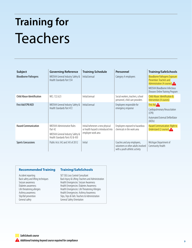## <span id="page-8-0"></span>**Training for** Teachers

| <b>Subject</b>                    | <b>Governing Reference</b>                                          | <b>Training Schedule</b>                                               | Personnel                                                                                           | <b>Training/SafeSchools</b>                                                                    |
|-----------------------------------|---------------------------------------------------------------------|------------------------------------------------------------------------|-----------------------------------------------------------------------------------------------------|------------------------------------------------------------------------------------------------|
| <b>Bloodborne Pathogens</b>       | MIOSHA General Industry Safety &<br>Health Standards Part 554       | Initial/annual                                                         | Category A employees                                                                                | <b>Bloodborne Pathogens Exposure</b><br>Prevention: Teachers and<br>Administration (4 courses) |
|                                   |                                                                     |                                                                        |                                                                                                     | MIOSHA Bloodborne Infectious<br>Diseases Online Training Program                               |
| <b>Child Abuse Identification</b> | MCL 722.623                                                         | Initial/annual                                                         | Social workers, teachers, school<br>personnel, child care providers                                 | Child Abuse: Identification &<br>Intervention (4 courses)                                      |
| First Aid/CPR/AED                 | MIOSHA General Industry Safety &<br>Health Standards Part 472       | Initial/annual                                                         | Employees responsible for<br>emergency response                                                     | <b>First Aid</b><br>Cardiopulmonary Resuscitation<br>(CPR)<br>Automated External Defibrillator |
|                                   |                                                                     |                                                                        |                                                                                                     | (AED <sub>s</sub> )                                                                            |
| <b>Hazard Communication</b>       | MIOSHA Administrative Rules<br>Part 42                              | Initial/whenever a new physical<br>or health hazard is introduced into | Employees exposed to hazardous<br>chemicals in the work area                                        | Hazard Communication: Right to<br>Understand (2 courses)                                       |
|                                   | MIOSHA General Industry Safety &<br>Health Standards Parts 92 & 430 | employee work area                                                     |                                                                                                     |                                                                                                |
| <b>Sports Concussions</b>         | Public Acts 342 and 343 of 2012                                     | <b>Initial</b>                                                         | Coaches and any employees,<br>volunteers or other adults involved<br>with a youth athletic activity | Michigan Department of<br>Community Health                                                     |

#### **Recommended Training**

**Training/SafeSchools**

Accident reporting Back safety and lifting techniques Seizure awareness Diabetes awareness Life threatening allergies Asthma awareness Slip/fall prevention General safety

SET SEG Loss Control Consultant Back Injury & Lifting: Teachers and Administration Health Emergencies: Seizure Awareness Health Emergencies: Diabetes Awareness Health Emergencies: Life Threatening Allergies Health Emergencies: Asthma Awareness Slips, Trips & Falls: Teachers & Administration General Safety Orientation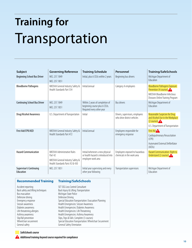## <span id="page-9-0"></span>**Training for** Transportation

| <b>Subject</b><br><b>Beginning School Bus Driver</b> | <b>Governing Reference</b><br>MCI 257.1849<br>MCL 257.1851                                                    | <b>Training Schedule</b><br>Initial, plus 6 CEUs within 2 years                               | Personnel<br>Beginning bus drivers                             | <b>Training/SafeSchools</b><br>Michigan Department of<br>Education                                                                        |
|------------------------------------------------------|---------------------------------------------------------------------------------------------------------------|-----------------------------------------------------------------------------------------------|----------------------------------------------------------------|-------------------------------------------------------------------------------------------------------------------------------------------|
| <b>Bloodborne Pathogens</b>                          | MIOSHA General Industry Safety &<br>Health Standards Part 554                                                 | Initial/annual                                                                                | Category A employees                                           | <b>Bloodborne Pathogens Exposure</b><br><b>Prevention (4 courses)</b><br>MIOSHA Bloodborne Infectious<br>Diseases Online Training Program |
| <b>Continuing School Bus Driver</b>                  | MCL 257.1849<br>MCL 257.1851                                                                                  | Within 2 years of completion of<br>beginning course plus 6 CEUs.<br>Required every other year | <b>Bus drivers</b>                                             | Michigan Department of<br><b>Fducation</b>                                                                                                |
| Drug/Alcohol Awareness                               | U.S. Department of Transportation                                                                             | Initial                                                                                       | Drivers, supervisors, employees<br>who drive district vehicles | Reasonable Suspicion for Drug<br>and Alcohol Use in the Workplace<br>$(2 \text{ courses})$<br>U.S. Department of Transportation           |
| First Aid/CPR/AED                                    | MIOSHA General Industry Safety &<br>Health Standards Part 472                                                 | Initial/annual                                                                                | Employees responsible for<br>emergency response                | <b>First Aid</b><br>Cardiopulmonary Resuscitation<br>(CPR)<br>Automated External Defibrillator<br>(AEDs)                                  |
| <b>Hazard Communication</b>                          | MIOSHA Administrative Rules<br>Part 42<br>MIOSHA General Industry Safety &<br>Health Standards Parts 92 & 430 | Initial/whenever a new physical<br>or health hazard is introduced into<br>employee work area  | Employees exposed to hazardous<br>chemicals in the work area   | Hazard Communication: Right to<br>Understand (2 courses)                                                                                  |
| <b>Supervisor's Continuing</b><br>Education          | MCL 257.1851                                                                                                  | Initial year supervising and every<br>other year following                                    | Transportation supervisors                                     | Michigan Department of<br>Education                                                                                                       |

#### **Recommended Training**

**Training/SafeSchools**

| SET SEG Loss Control Consultant                         |
|---------------------------------------------------------|
| Back Injury & Lifting: Transportation                   |
| Michigan State Police                                   |
| Defensive Driving                                       |
| Special Education Transportation: Evacuation Planning   |
| Health Emergencies: Seizure Awareness                   |
| Health Emergencies: Diabetes Awareness                  |
| Health Emergencies: Life Threatening                    |
| Health Emergencies: Asthma Awareness                    |
| Slips, Trips & Falls: Complete (3 courses)              |
| Special Education Transportation: Wheelchair Securement |
| General Safety Orientation                              |
|                                                         |

*SafeSchools course*

*Additional training beyond course required for compliance*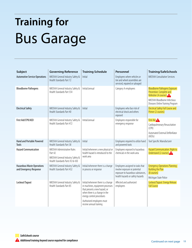## <span id="page-10-0"></span>**Training for** Bus Garage

| <b>Subject</b>                                              | <b>Governing Reference</b>                                          | <b>Training Schedule</b>                                                                                                                                                                                                      | Personnel                                                                                              | <b>Training/SafeSchools</b>                                                                                               |
|-------------------------------------------------------------|---------------------------------------------------------------------|-------------------------------------------------------------------------------------------------------------------------------------------------------------------------------------------------------------------------------|--------------------------------------------------------------------------------------------------------|---------------------------------------------------------------------------------------------------------------------------|
| <b>Automotive Service Operations</b>                        | MIOSHA General Industry Safety &<br>Health Standards Part 72        | Initial                                                                                                                                                                                                                       | Employees where vehicles or<br>tire and wheel assemblies are<br>serviced, repaired or salvaged         | <b>MIOSHA Consultative Services</b>                                                                                       |
| <b>Bloodborne Pathogens</b>                                 | MIOSHA General Industry Safety &<br>Health Standards Part 554       | Initial/annual                                                                                                                                                                                                                | Category A employees                                                                                   | <b>Bloodborne Pathogens Exposure</b><br>Prevention: Complete and<br>Refresher (4 courses)<br>MIOSHA Bloodborne Infectious |
|                                                             |                                                                     |                                                                                                                                                                                                                               |                                                                                                        | Diseases Online Training Program                                                                                          |
| <b>Electrical Safety</b>                                    | MIOSHA General Industry Safety &<br>Health Standards Part 40        | Initial                                                                                                                                                                                                                       | Employees who face risk of<br>electrical shock and others<br>exposed                                   | <b>Electrical Safety Full Course and</b><br>Primer (2 courses)                                                            |
| First Aid/CPR/AED                                           | MIOSHA General Industry Safety &<br>Health Standards Part 472       | Initial/annual                                                                                                                                                                                                                | Employees responsible for<br>emergency response                                                        | <b>First Aid</b><br>Cardiopulmonary Resuscitation<br>(CPR)                                                                |
|                                                             |                                                                     |                                                                                                                                                                                                                               |                                                                                                        | Automated External Defibrillator<br>(AEDs)                                                                                |
| <b>Hand and Portable Powered</b><br><b>Tools</b>            | MIOSHA General Industry Safety &<br>Health Standards Part 38        | Initial                                                                                                                                                                                                                       | Employees required to utilize hand<br>and powered tools                                                | Tool Specific Manufacturer                                                                                                |
| <b>Hazard Communication</b>                                 | MIOSHA Administrative Rules<br>Part 42                              | Initial/whenever a new physical or<br>health hazard is introduced to the                                                                                                                                                      | Employees exposed to hazardous<br>chemicals in the work area                                           | Hazard Communication: Right to<br>Understand (2 courses)                                                                  |
|                                                             | MIOSHA General Industry Safety &<br>Health Standards Parts 92 & 430 | work area                                                                                                                                                                                                                     |                                                                                                        |                                                                                                                           |
| <b>Hazardous Waste Operations</b><br>and Emergency Response | MIOSHA General Industry Safety &<br>Health Standards Part 432       | Initial/whenever there is a change<br>in process or response                                                                                                                                                                  | Employees assigned to tasks that<br>involve exposure or potential<br>exposure to hazardous substances, | <b>Emergency Operations Planning:</b><br><b>Building the Plan</b><br>(8 courses)                                          |
|                                                             |                                                                     |                                                                                                                                                                                                                               | health hazards or safety hazards                                                                       | Michigan State Police                                                                                                     |
| Lockout/Tagout                                              | MIOSHA General Industry Safety &<br>Health Standards Part 85        | Initial/whenever there is a change<br>in machines, equipment processes<br>that present a new hazard, or<br>when there is a change in the<br>energy control procedures<br>Authorized employees must<br>receive annual training | Affected and authorized<br>employees                                                                   | Lockout/Tagout: Energy Release<br><b>Full Course</b>                                                                      |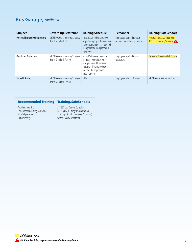### **Bus Garage,** *continued*

| <b>Subject</b><br><b>Personal Protective Equipment</b> | <b>Governing Reference</b><br>MIOSHA General Industry Safety &<br><b>Health Standards Part 33</b> | <b>Training Schedule</b><br>Initial/retrain when employer<br>suspects employee does not have<br>a understanding or skill required,<br>changes in the workplace and<br>equipment | Personnel<br>Employees required to wear<br>personal protective equipment | <b>Training/SafeSchools</b><br>Personal Protective Equipment<br>(PPE) Full Course (2 courses) |
|--------------------------------------------------------|---------------------------------------------------------------------------------------------------|---------------------------------------------------------------------------------------------------------------------------------------------------------------------------------|--------------------------------------------------------------------------|-----------------------------------------------------------------------------------------------|
| <b>Respirator Protection</b>                           | MIOSHA General Industry Safety &<br><b>Health Standards Part 451</b>                              | Annual/whenever there is a<br>change in workplace, type<br>of respirator or if there is an<br>indication the employee does<br>not have the appropriate<br>understanding         | Employees required to use<br>respirators                                 | <b>Respirator Protection Full Course</b>                                                      |
| <b>Spray Finishing</b>                                 | MIOSHA General Industry Safety &<br>Health Standards Part 76                                      | <b>Initial</b>                                                                                                                                                                  | Employees who do this task                                               | MIOSHA Consultative Services                                                                  |

#### **Recommended Training Training/SafeSchools**

Accident reporting Back safety and lifting techniques Slip/fall prevention General safety

SET SEG Loss Control Consultant Back Injury & Lifting: Transportation Slips, Trips & Falls: Complete (3 courses) General Safety Orientation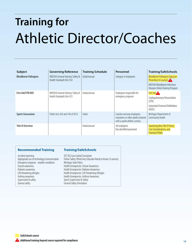## <span id="page-12-0"></span>**Training for** Athletic Director/Coaches

| <b>Subject</b>              | <b>Governing Reference</b>                                    | <b>Training Schedule</b> | Personnel                                                         | <b>Training/SafeSchools</b>                                                                   |
|-----------------------------|---------------------------------------------------------------|--------------------------|-------------------------------------------------------------------|-----------------------------------------------------------------------------------------------|
| <b>Bloodborne Pathogens</b> | MIOSHA General Industry Safety &<br>Health Standards Part 554 | Initial/annual           | Category A employees                                              | <b>Bloodborne Pathogens Exposure</b><br><b>Prevention (4 courses)</b>                         |
|                             |                                                               |                          |                                                                   | MIOSHA Bloodborne Infectious<br>Diseases Online Training Program                              |
| First Aid/CPR/AED           | MIOSHA General Industry Safety &<br>Health Standards Part 472 | Initial/annual           | Employees responsible for<br>emergency response                   | <b>First Aid</b>                                                                              |
|                             |                                                               |                          |                                                                   | Cardiopulmonary Resuscitation<br>(CPR)                                                        |
|                             |                                                               |                          |                                                                   | Automated External Defibrillator<br>(AEDs)                                                    |
| <b>Sports Concussions</b>   | Public Acts 342 and 343 of 2012                               | <b>Initial</b>           | Coaches and any employees,<br>volunteers or other adults involved | Michigan Department of                                                                        |
|                             |                                                               |                          | with a youth athletic activity                                    | Community Health                                                                              |
| <b>Title IX Overview</b>    |                                                               | Initial/annual           | All employees<br>Key identified personnel                         | <b>Examining New Title IX Rules,</b><br>Core Considerations, and<br><b>Potential Pitfalls</b> |

#### **Recommended Training**

Accident reporting Appropriate use of technology/communication Emergency response - weather conditions Seizure awareness Diabetes awareness Life threatening allergies Asthma awareness Supervision & safety General safety

#### **Training/SafeSchools**

SET SEG Loss Control Consultant Online Safety; What Every Educator Needs to Know (3 courses) Michigan State Police Health Emergencies: Seizure Awareness Health Emergencies: Diabetes Awareness Health Emergencies: Life Threatening Allergies Health Emergencies: Asthma Awareness Sports Supervision & Safety General Safety Orientation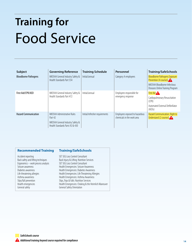## <span id="page-13-0"></span>**Training for** Food Service

| Subject                     | <b>Governing Reference</b>                                                                                    | <b>Training Schedule</b>       | Personnel                                                    | <b>Training/SafeSchools</b>                                                                              |
|-----------------------------|---------------------------------------------------------------------------------------------------------------|--------------------------------|--------------------------------------------------------------|----------------------------------------------------------------------------------------------------------|
| <b>Bloodborne Pathogens</b> | MIOSHA General Industry Safety &<br>Health Standards Part 554                                                 | Initial/annual                 | Category A employees                                         | <b>Bloodborne Pathogens Exposure</b><br>Prevention (4 courses)                                           |
|                             |                                                                                                               |                                |                                                              | MIOSHA Bloodborne Infectious<br>Diseases Online Training Program                                         |
| First Aid/CPR/AED           | MIOSHA General Industry Safety &<br>Health Standards Part 472                                                 | Initial/annual                 | Employees responsible for<br>emergency response              | <b>First Aid</b><br>Cardiopulmonary Resuscitation<br>(CPR)<br>Automated External Defibrillator<br>(AEDs) |
| <b>Hazard Communication</b> | MIOSHA Administrative Rules<br>Part 42<br>MIOSHA General Industry Safety &<br>Health Standards Parts 92 & 430 | Initial/refresher requirements | Employees exposed to hazardous<br>chemicals in the work area | <b>Hazard Communication: Right to</b><br>Understand (2 courses)                                          |

| <b>Training/SafeSchools</b>                         |
|-----------------------------------------------------|
| SET SEG Loss Control Consultant                     |
| Back Injury & Lifting: Nutrition Services           |
| SET SEG Loss Control Consultant                     |
| Health Emergencies: Seizure Awareness               |
| Health Emergencies: Diabetes Awareness              |
| Health Emergencies: Life Threatening Allergies      |
| Health Emergencies: Asthma Awareness                |
| Slips, Trips & Falls: Nutrition Services            |
| Health Emergencies: Choking & the Heimlich Maneuver |
| General Safety Orientation                          |
|                                                     |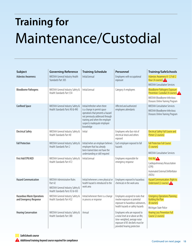### <span id="page-14-0"></span>**Training for** Maintenance/Custodial

| <b>Subject</b>                                              | <b>Governing Reference</b>                                                                                    | <b>Training Schedule</b>                                                                                                                                                                                            | Personnel                                                                                                                                                           | <b>Training/SafeSchools</b>                                                                                                                   |
|-------------------------------------------------------------|---------------------------------------------------------------------------------------------------------------|---------------------------------------------------------------------------------------------------------------------------------------------------------------------------------------------------------------------|---------------------------------------------------------------------------------------------------------------------------------------------------------------------|-----------------------------------------------------------------------------------------------------------------------------------------------|
| <b>Asbestos Awareness</b>                                   | MIOSHA General Industry Health<br>Standards Part 305                                                          | Initial/annual                                                                                                                                                                                                      | Employees with occupational<br>exposure                                                                                                                             | Asbestos Awareness K-12 Full 2<br>Hour (4 courses)                                                                                            |
|                                                             |                                                                                                               |                                                                                                                                                                                                                     |                                                                                                                                                                     | MIOSHA Consultative Services                                                                                                                  |
| <b>Bloodborne Pathogens</b>                                 | MIOSHA General Industry Safety &<br>Health Standards Part 554                                                 | Initial/annual                                                                                                                                                                                                      | Category A employees                                                                                                                                                | <b>Bloodborne Pathogens Exposure</b><br>Prevention: Custodial (4 courses)<br>MIOSHA Bloodborne Infectious<br>Diseases Online Training Program |
| <b>Confined Space</b>                                       | MIOSHA General Industry Safety &<br>Health Standards Parts 90 & 490                                           | Initial/refresher when there<br>is a change in permit space<br>operations that presents a hazard<br>not previously addressed through<br>training and when the employer<br>suspects inadequate employee<br>knowledge | Affected and authorized<br>employees attendants                                                                                                                     | MIOSHA Consultative Services<br>MIOSHA Bloodborne Infectious<br>Diseases Online Training Program                                              |
| <b>Electrical Safety</b>                                    | MIOSHA General Industry Safety &<br>Health Standards Part 40                                                  | Initial                                                                                                                                                                                                             | Employees who face risk of<br>electrical shock and others<br>exposed                                                                                                | <b>Electrical Safety Full Course and</b><br>Primer (2 courses)                                                                                |
| <b>Fall Protection</b>                                      | MIOSHA General Industry Safety &<br>Health Standards Part 2                                                   | Initial/when an employer believes<br>employee that has already<br>been trained does not have the<br>understanding or skill required                                                                                 | Each employee exposed to fall<br>hazards                                                                                                                            | <b>Fall Protection Full Course</b><br>(5 courses)<br><b>MIOSHA Consultative Services</b>                                                      |
| First Aid/CPR/AED                                           | MIOSHA General Industry Safety &<br>Health Standards Part 472                                                 | Initial/annual                                                                                                                                                                                                      | Employees responsible for<br>emergency response                                                                                                                     | <b>First Aid</b><br>Cardiopulmonary Resuscitation<br>(CPR)<br>Automated External Defibrillator<br>(AEDs)                                      |
| <b>Hazard Communication</b>                                 | MIOSHA Administrative Rules<br>Part 42<br>MIOSHA General Industry Safety &<br>Health Standards Parts 92 & 430 | Initial/whenever a new physical or<br>health hazard is introduced to the<br>work area                                                                                                                               | Employees exposed to hazardous<br>chemicals in the work area                                                                                                        | Hazard Communication: Right to<br>Understand (2 courses)                                                                                      |
| <b>Hazardous Waste Operations</b><br>and Emergency Response | MIOSHA General Industry Safety &<br>Health Standards Part 432                                                 | Initial/whenever there is a change<br>in process or response                                                                                                                                                        | Employees assigned to tasks that<br>involve exposure or potential<br>exposure to hazardous substances,<br>health hazards or safety hazards                          | <b>Emergency Operations Planning:</b><br><b>Building the Plan</b><br>(8 courses)<br>Michigan State Police                                     |
| <b>Hearing Conservation</b>                                 | MIOSHA General Industry Safety &<br>Health Standards Part 380                                                 | Annual                                                                                                                                                                                                              | Employees who are exposed to<br>a noise level at or above an 8hr,<br>time-weighted, average noise<br>exposure of 85 decibels must be<br>provided hearing protection | <b>Hearing Loss Prevention Full</b><br>Course (2 courses)                                                                                     |

 *SafeSchools course Additional training beyond course required for compliance*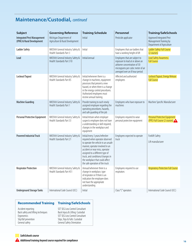### **Maintenance/Custodial,** *continued*

| <b>Subject</b>                                                 | <b>Governing Reference</b>                                    | <b>Training Schedule</b>                                                                                                                                                                                                                                                                                                     | Personnel                                                                                                                                                               | <b>Training/SafeSchools</b>                                                     |
|----------------------------------------------------------------|---------------------------------------------------------------|------------------------------------------------------------------------------------------------------------------------------------------------------------------------------------------------------------------------------------------------------------------------------------------------------------------------------|-------------------------------------------------------------------------------------------------------------------------------------------------------------------------|---------------------------------------------------------------------------------|
| <b>Integrated Pest Management</b><br>(IPM) & Rural Development | Michigan Department of<br>Agriculture & Rural Development     | Initial                                                                                                                                                                                                                                                                                                                      | Pesticide applicator                                                                                                                                                    | Approved Integrated Pest<br>Management Training by<br>Department of Agriculture |
| <b>Ladder Safety</b>                                           | MIOSHA General Industry Safety &<br>Health Standards Part 3   | Initial                                                                                                                                                                                                                                                                                                                      | Employees that use ladders that<br>have a working height of 6ft                                                                                                         | Ladder Safety Full Course<br>(2 courses)                                        |
| Lead                                                           | MIOSHA General Industry Safety &<br>Health Standards Part 310 | Initial/annual                                                                                                                                                                                                                                                                                                               | Employees that are subject to<br>exposure to lead at or above an<br>airborne concentration of 30<br>micrograms per cubic meter of air<br>averaged over an 8 hour period | <b>Lead Safety Awareness</b><br><b>Full Course</b>                              |
| Lockout/Tagout                                                 | MIOSHA General Industry Safety &<br>Health Standards Part 85  | Initial/whenever there is a<br>change in machines, equipment<br>processes that present a new<br>hazard, or when there is a change<br>in the energy control procedures.<br>Authorized employees must<br>receive annual training.                                                                                              | Affected and authorized<br>employees                                                                                                                                    | Lockout/Tagout; Energy Release<br><b>Full Course</b>                            |
| <b>Machine Guarding</b>                                        | MIOSHA General Industry Safety &<br>Health Standards Part 1   | Provide training to each newly<br>assigned employee regarding the<br>operating procedures, hazards,<br>and safe quarding of the job                                                                                                                                                                                          | Employees who have exposure to<br>machines                                                                                                                              | Machine Specific Manufacturer                                                   |
| Personal Protective Equipment                                  | MIOSHA General Industry Safety &<br>Health Standards Part 33  | Initial/retrain when employer<br>suspects employee does not have<br>a understanding or skill required,<br>changes in the workplace and<br>equipment                                                                                                                                                                          | Employees required to wear<br>personal protective equipment                                                                                                             | Personal Protective Equipment<br>(PPE) Full Course (2 courses)                  |
| <b>Powered Industrial Truck</b>                                | MIOSHA General Industry Safety &<br>Health Standards Part 21  | Initial/every 3 years/refresher<br>required when operator observed<br>to operate the vehicle in an unsafe<br>manner, operator involved in an<br>accident or near miss, operator<br>assigned to a different type of<br>truck, and conditions/changes in<br>the workplace that could affect<br>the safe operation of the truck | Employees expected to operate<br>truck                                                                                                                                  | Forklift Safety<br>Lift manufacturer                                            |
| <b>Respirator Protection</b>                                   | MIOSHA General Industry Safety &<br>Health Standards Part 451 | Annual/whenever there is a<br>change in workplace, type<br>of respirator or if there is an<br>indication the employee does<br>not have the appropriate<br>understanding                                                                                                                                                      | Employees required to use<br>respirators                                                                                                                                | <b>Respiratory Protection Full Course</b>                                       |
| <b>Underground Storage Tanks</b>                               | International Code Council (ICC)                              | Initial                                                                                                                                                                                                                                                                                                                      | Class "C" operators                                                                                                                                                     | International Code Council (ICC)                                                |

### **Recommended Training Training/SafeSchools**

| SET SEG Loss Control Consultant  |
|----------------------------------|
| Back Injury & Lifting: Custodial |
| SET SEG Loss Control Consultant  |
| Slips, Trips & Falls: Custodial  |
| General Safety Orientation       |
|                                  |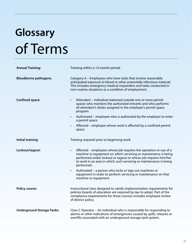## <span id="page-16-0"></span>**Glossary** of Terms

| <b>Annual Training:</b>           | Training within a 12-month period.                                                                                                                                                                                                                                                                       |  |
|-----------------------------------|----------------------------------------------------------------------------------------------------------------------------------------------------------------------------------------------------------------------------------------------------------------------------------------------------------|--|
| <b>Bloodborne pathogens:</b>      | Category A - Employees who have tasks that involve reasonably<br>anticipated exposure to blood or other potentially infectious material.<br>This includes emergency medical responders and tasks conducted in<br>non-routine situations as a condition of employment.                                    |  |
| <b>Confined space:</b>            | Attendant – individual stationed outside one or more permit<br>$\bullet$<br>spaces who monitors the authorized entrants and who performs<br>all attendant's duties assigned in the employer's permit space<br>program.                                                                                   |  |
|                                   | Authorized - employee who is authorized by the employer to enter<br>$\bullet$<br>a permit space.                                                                                                                                                                                                         |  |
|                                   | Affected – employee whose work is affected by a confined permit<br>$\bullet$<br>space.                                                                                                                                                                                                                   |  |
| Initial training:                 | Training required prior to beginning work.                                                                                                                                                                                                                                                               |  |
| Lockout/tagout:                   | Affected – employees whose job requires the operation or use of a<br>$\bullet$<br>machine or equipment on which servicing or maintenance is being<br>performed under lockout or tagout or whose job requires him/her<br>to work in an area in which such servicing or maintenance is being<br>performed. |  |
|                                   | Authorized - a person who locks or tags out machines or<br>$\bullet$<br>equipment in order to perform servicing or maintenance on that                                                                                                                                                                   |  |
|                                   | machine or equipment.                                                                                                                                                                                                                                                                                    |  |
| <b>Policy course:</b>             | Instructional class designed to satisfy implementation requirements for<br>policies boards of education are required by law to adopt. Part of the<br>compliance requirements for these courses includes employee review<br>of district policy.                                                           |  |
| <b>Underground Storage Tanks:</b> | Class C Operator - An individual who is responsible for responding to<br>alarms or other indications of emergencies caused by spills, releases or<br>overfills associated with an underground storage tank system.                                                                                       |  |